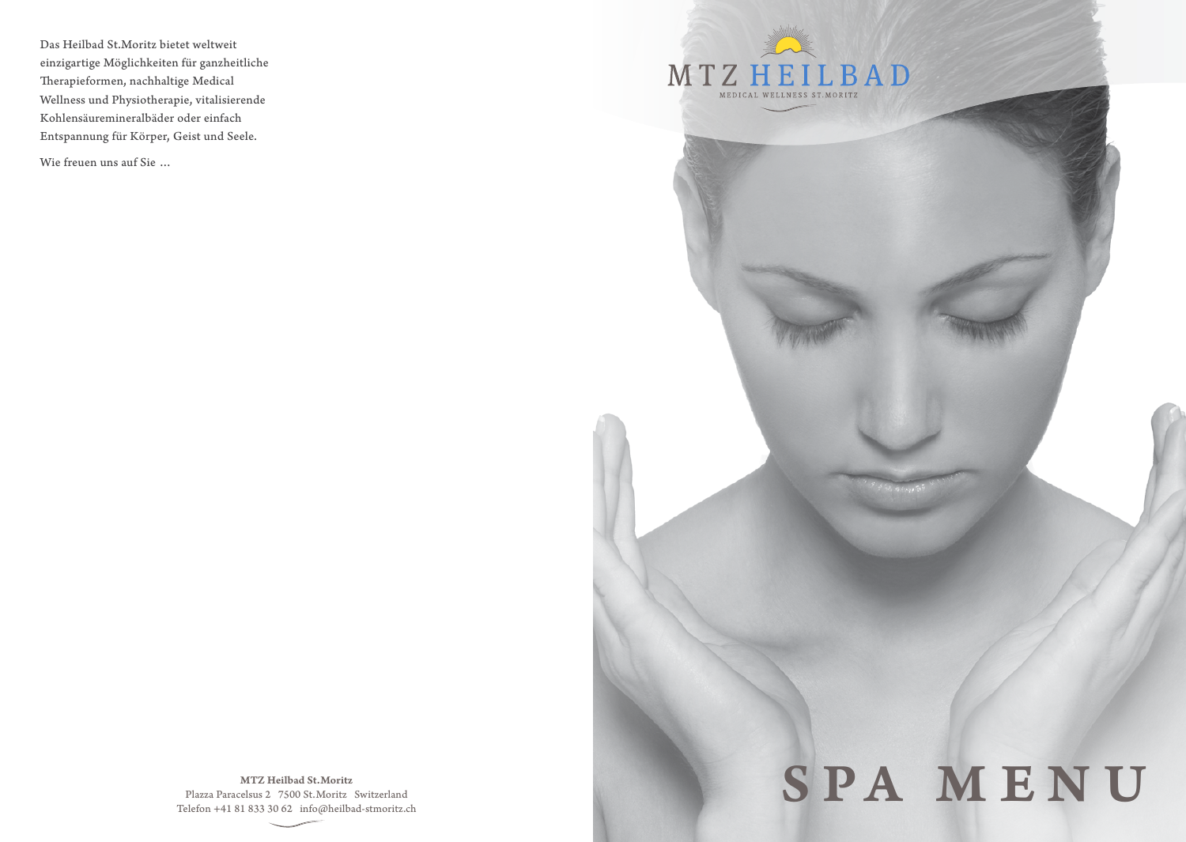Das Heilbad St.Moritz bietet weltweit einzigartige Möglichkeiten für ganzheitliche Therapieformen, nachhaltige Medical Wellness und Physiotherapie, vitalisierende Kohlensäuremineralbäder oder einfach Entspannung für Körper, Geist und Seele.

Wie freuen uns auf Sie …



MTZ Heilbad St.Moritz Plazza Paracelsus 2 7500 St.Moritz Switzerland Telefon +41 81 833 30 62 info@heilbad-stmoritz.ch